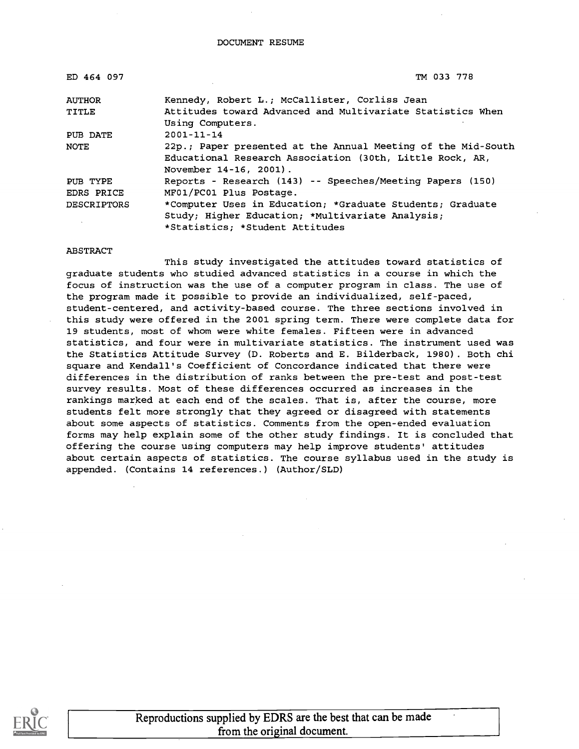| ED 464 097         | TM 033 778                                                   |
|--------------------|--------------------------------------------------------------|
| <b>AUTHOR</b>      | Kennedy, Robert L.; McCallister, Corliss Jean                |
| TITLE              | Attitudes toward Advanced and Multivariate Statistics When   |
|                    | Using Computers.                                             |
| PUB DATE           | $2001 - 11 - 14$                                             |
| <b>NOTE</b>        | 22p.; Paper presented at the Annual Meeting of the Mid-South |
|                    | Educational Research Association (30th, Little Rock, AR,     |
|                    | November 14-16, 2001).                                       |
| PUB TYPE           | Reports - Research (143) -- Speeches/Meeting Papers (150)    |
| EDRS PRICE         | MF01/PC01 Plus Postage.                                      |
| <b>DESCRIPTORS</b> | *Computer Uses in Education; *Graduate Students; Graduate    |
|                    | Study; Higher Education; *Multivariate Analysis;             |
|                    | *Statistics: *Student Attitudes                              |

#### ABSTRACT

This study investigated the attitudes toward statistics of graduate students who studied advanced statistics in a course in which the focus of instruction was the use of a computer program in class. The use of the program made it possible to provide an individualized, self-paced, student-centered, and activity-based course. The three sections involved in this study were offered in the 2001 spring term. There were complete data for 19 students, most of whom were white females. Fifteen were in advanced statistics, and four were in multivariate statistics. The instrument used was the Statistics Attitude Survey (D. Roberts and E. Bilderback, 1980). Both chi square and Kendall's Coefficient of Concordance indicated that there were differences in the distribution of ranks between the pre-test and post-test survey results. Most of these differences occurred as increases in the rankings marked at each end of the scales. That is, after the course, more students felt more strongly that they agreed or disagreed with statements about some aspects of statistics. Comments from the open-ended evaluation forms may help explain some of the other study findings. It is concluded that offering the course using computers may help improve students' attitudes about certain aspects of statistics. The course syllabus used in the study is appended. (Contains 14 references.) (Author/SLD)



Reproductions supplied by EDRS are the best that can be made from the original document.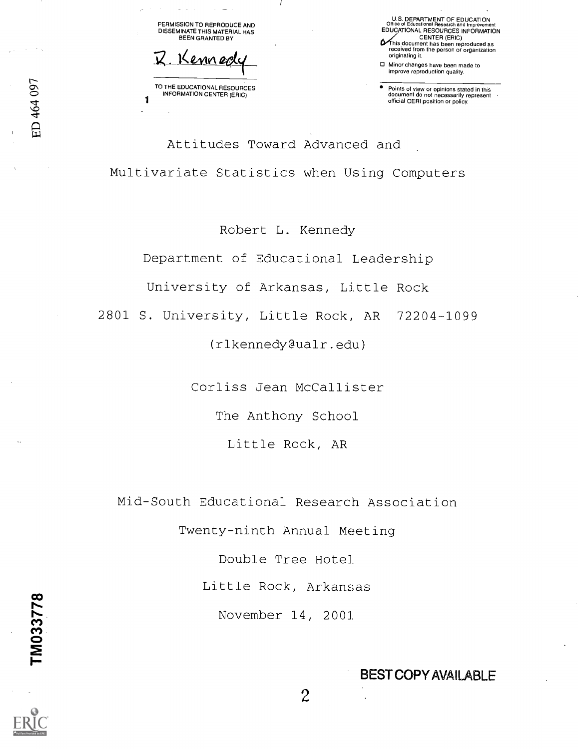PERMISSION TO REPRODUCE AND DISSEMINATE THIS MATERIAL HAS BEEN GRANTED BY

Kenner

TO THE EDUCATIONAL RESOURCES INFORMATION CENTER (ERIC)

1

U.S. DEPARTMENT OF EDUCATION Office of Educational Research and Improvement EDUCATIONAL RESOURCES INFORMATION CENTER (ERIC) P'This document has been reproduced as received from the person or organization originating it.

0 Minor changes have been made to improve reproduction quality.

Points of view or opinions stated in this document do not necessarily represent official OERI position or policy.

Attitudes Toward Advanced and Multivariate Statistics when Using Computers

Robert L. Kennedy

Department of Educational Leadership

University of Arkansas, Little Rock

2801 S. University, Little Rock, AR 72204-1099

(rlkennedy@ualr.edu)

Corliss Jean McCallister

The Anthony School

Little Rock, AR

Mid-South Educational Research Association

Twenty-ninth Annual Meeting

Double Tree Hotel

Little Rock, Arkansas

**CO** and the contract of the contract of the contract of the contract of the contract of the contract of the con

ED 464 097

 $\sum_{i=1}^{n}$ 

November 14, 2001

2

BEST COPY AVAILABLE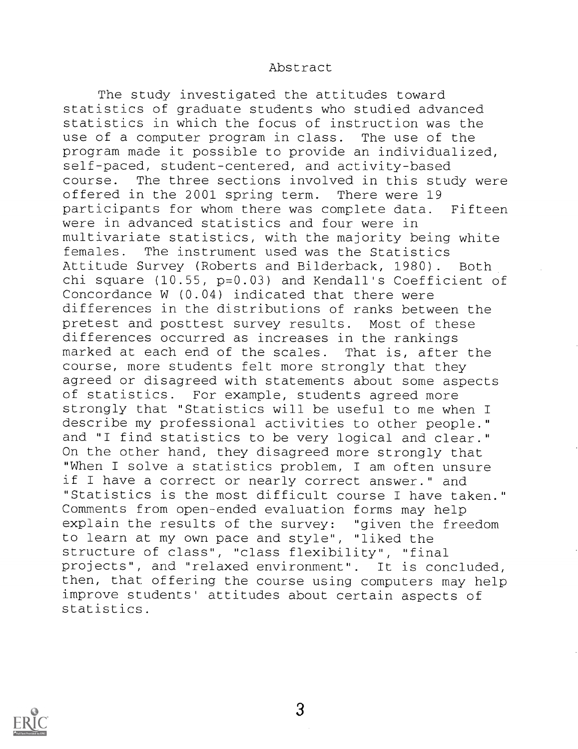#### Abstract

The study investigated the attitudes toward statistics of graduate students who studied advanced statistics in which the focus of instruction was the use of a computer program in class. The use of the program made it possible to provide an individualized, self-paced, student-centered, and activity-based course. The three sections involved in this study were offered in the 2001 spring term. There were 19 participants for whom there was complete data. Fifteen were in advanced statistics and four were in multivariate statistics, with the majority being white females. The instrument used was the Statistics Attitude Survey (Roberts and Bilderback, 1980) . Both chi square (10.55, p=0.03) and Kendall's Coefficient of Concordance W (0.04) indicated that there were differences in the distributions of ranks between the pretest and posttest survey results. Most of these differences occurred as increases in the rankings marked at each end of the scales. That is, after the course, more students felt more strongly that they agreed or disagreed with statements about some aspects of statistics. For example, students agreed more strongly that "Statistics will be useful to me when I describe my professional activities to other people." and "I find statistics to be very logical and clear." On the other hand, they disagreed more strongly that "When I solve a statistics problem, I am often unsure if I have a correct or nearly correct answer." and "Statistics is the most difficult course I have taken." Comments from open-ended evaluation forms may help explain the results of the survey: "given the freedom to learn at my own pace and style", "liked the structure of class", "class flexibility", "final projects", and "relaxed environment". It is concluded, then, that offering the course using computers may help improve students' attitudes about certain aspects of statistics.



3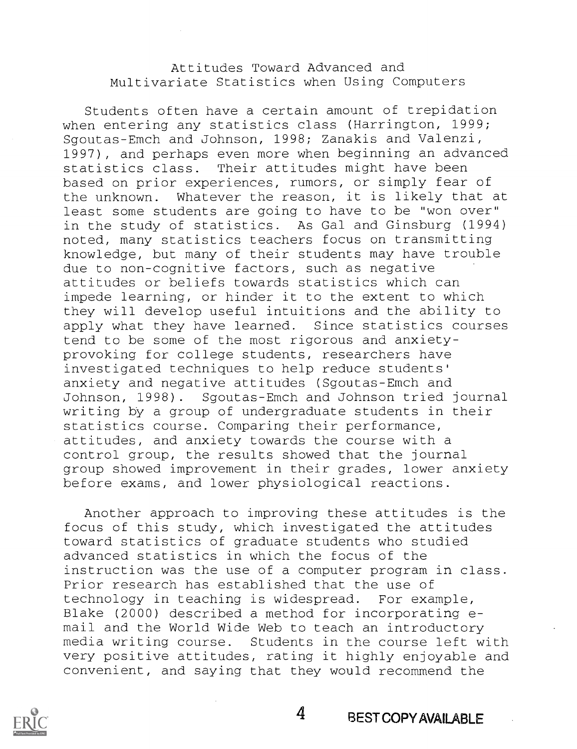## Attitudes Toward Advanced and Multivariate Statistics when Using Computers

Students often have a certain amount of trepidation when entering any statistics class (Harrington, 1999; Sgoutas-Emch and Johnson, 1998; Zanakis and Valenzi, 1997), and perhaps even more when beginning an advanced statistics class. Their attitudes might have been based on prior experiences, rumors, or simply fear of the unknown. Whatever the reason, it is likely that at least some students are going to have to be "won over" in the study of statistics. As Gal and Ginsburg (1994) noted, many statistics teachers focus on transmitting knowledge, but many of their students may have trouble due to non-cognitive factors, such as negative attitudes or beliefs towards statistics which can impede learning, or hinder it to the extent to which they will develop useful intuitions and the ability to apply what they have learned. Since statistics courses tend to be some of the most rigorous and anxietyprovoking for college students, researchers have investigated techniques to help reduce students' anxiety and negative attitudes (Sgoutas-Emch and Johnson, 1998) . Sgoutas-Emch and Johnson tried journal writing by a group of undergraduate students in their statistics course. Comparing their performance, attitudes, and anxiety towards the course with a control group, the results showed that the journal group showed improvement in their grades, lower anxiety before exams, and lower physiological reactions.

Another approach to improving these attitudes is the focus of this study, which investigated the attitudes toward statistics of graduate students who studied advanced statistics in which the focus of the instruction was the use of a computer program in class. Prior research has established that the use of technology in teaching is widespread. For example, Blake (2000) described a method for incorporating email and the World Wide Web to teach an introductory media writing course. Students in the course left with very positive attitudes, rating it highly enjoyable and convenient, and saying that they would recommend the

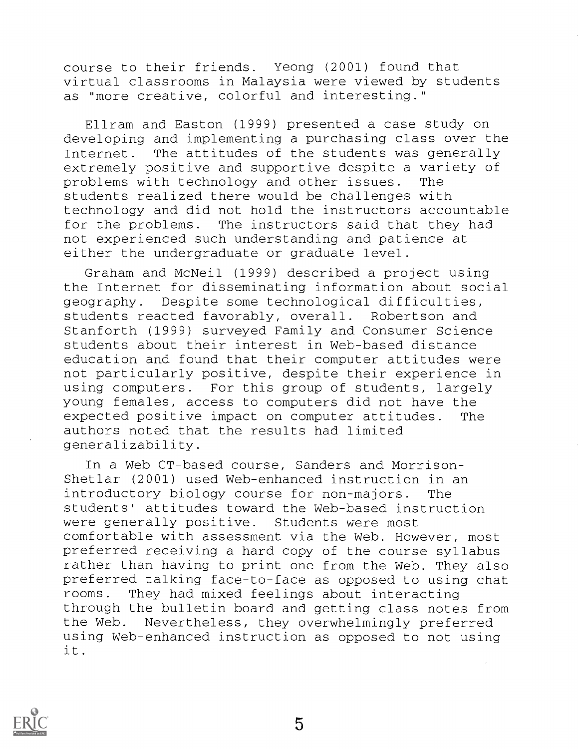course to their friends. Yeong (2001) found that virtual classrooms in Malaysia were viewed by students as "more creative, colorful and interesting."

Ellram and Easton (1999) presented a case study on developing and implementing a purchasing class over the Internet. The attitudes of the students was generally extremely positive and supportive despite a variety of problems with technology and other issues. The students realized there would be challenges with technology and did not hold the instructors accountable for the problems. The instructors said that they had not experienced such understanding and patience at either the undergraduate or graduate level.

Graham and McNeil (1999) described a project using the Internet for disseminating information about social geography. Despite some technological difficulties, students reacted favorably, overall. Robertson and Stanforth (1999) surveyed Family and Consumer Science students about their interest in Web-based distance education and found that their computer attitudes were not particularly positive, despite their experience in using computers. For this group of students, largely young females, access to computers did not have the expected positive impact on computer attitudes. The authors noted that the results had limited generalizability.

In a Web CT-based course, Sanders and Morrison-Shetlar (2001) used Web-enhanced instruction in an introductory biology course for non-majors. The students' attitudes toward the Web-based instruction were generally positive. Students were most comfortable with assessment via the Web. However, most preferred receiving a hard copy of the course syllabus rather than having to print one from the Web. They also preferred talking face-to-face as opposed to using chat rooms. They had mixed feelings about interacting through the bulletin board and getting class notes from the Web. Nevertheless, they overwhelmingly preferred using Web-enhanced instruction as opposed to not using it.



5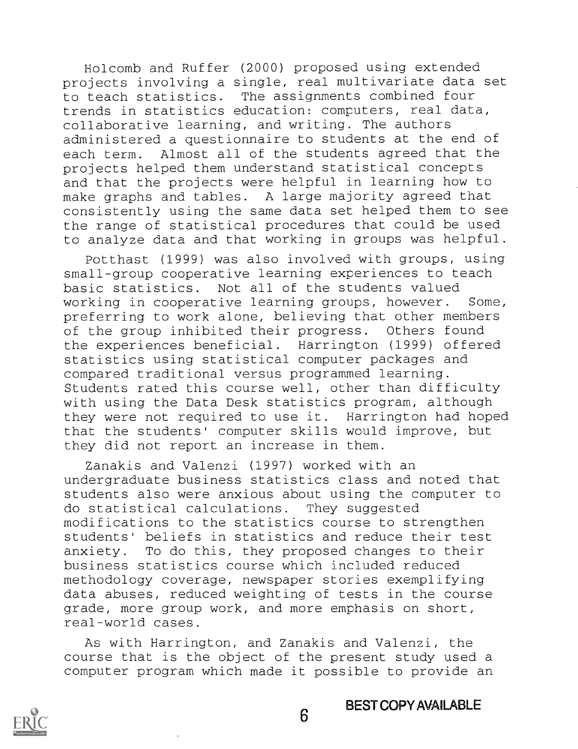Holcomb and Ruffer (2000) proposed using extended projects involving a single, real multivariate data set to teach statistics. The assignments combined four trends in statistics education: computers, real data, collaborative learning, and writing. The authors administered a questionnaire to students at the end of each term. Almost all of the students agreed that the projects helped them understand statistical concepts and that the projects were helpful in learning how to make graphs and tables. A large majority agreed that consistently using the same data set helped them to see the range of statistical procedures that could be used to analyze data and that working in groups was helpful.

Potthast (1999) was also involved with groups, using small-group cooperative learning experiences to teach basic statistics. Not all of the students valued working in cooperative learning groups, however. Some, preferring to work alone, believing that other members of the group inhibited their progress. Others found the experiences beneficial. Harrington (1999) offered statistics using statistical computer packages and compared traditional versus programmed learning. Students rated this course well, other than difficulty with using the Data Desk statistics program, although they were not required to use it. Harrington had hoped that the students' computer skills would improve, but they did not report an increase in them.

Zanakis and Valenzi (1997) worked with an undergraduate business statistics class and noted that students also were anxious about using the computer to do statistical calculations. They suggested modifications to the statistics course to strengthen students' beliefs in statistics and reduce their test anxiety. To do this, they proposed changes to their business statistics course which included reduced methodology coverage, newspaper stories exemplifying data abuses, reduced weighting of tests in the course grade, more group work, and more emphasis on short, real-world cases.

As with Harrington, and Zanakis and Valenzi, the course that is the object of the present study used a computer program which made it possible to provide an

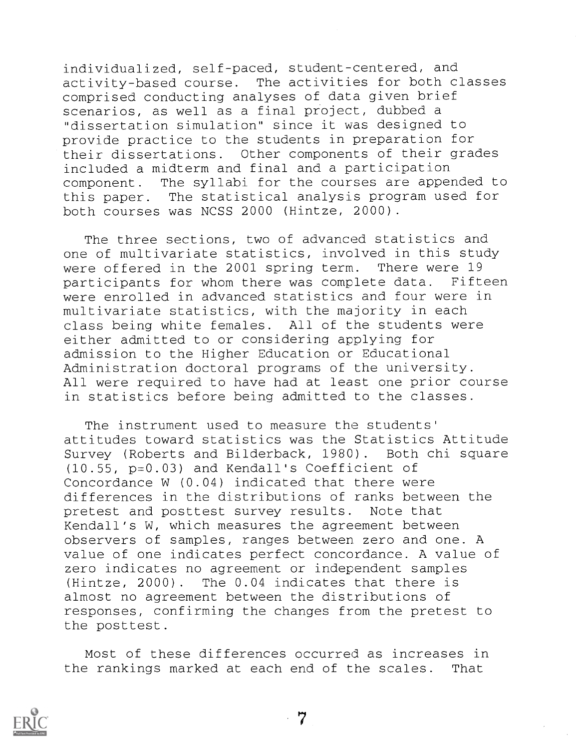individualized, self-paced, student-centered, and activity-based course. The activities for both classes comprised conducting analyses of data given brief scenarios, as well as a final project, dubbed a "dissertation simulation" since it was designed to provide practice to the students in preparation for their dissertations. Other components of their grades included a midterm and final and a participation component. The syllabi for the courses are appended to this paper. The statistical analysis program used for both courses was NCSS 2000 (Hintze, 2000).

The three sections, two of advanced statistics and one of multivariate statistics, involved in this study were offered in the 2001 spring term. There were 19 participants for whom there was complete data. Fifteen were enrolled in advanced statistics and four were in multivariate statistics, with the majority in each class being white females. All of the students were either admitted to or considering applying for admission to the Higher Education or Educational Administration doctoral programs of the university. All were required to have had at least one prior course in statistics before being admitted to the classes.

The instrument used to measure the students' attitudes toward statistics was the Statistics Attitude Survey (Roberts and Bilderback, 1980). Both chi square (10.55, p=0.03) and Kendall's Coefficient of Concordance W (0.04) indicated that there were differences in the distributions of ranks between the pretest and posttest survey results. Note that Kendall's W, which measures the agreement between observers of samples, ranges between zero and one. A value of one indicates perfect concordance. A value of zero indicates no agreement or independent samples (Hintze, 2000). The 0.04 indicates that there is almost no agreement between the distributions of responses, confirming the changes from the pretest to the posttest.

Most of these differences occurred as increases in the rankings marked at each end of the scales. That

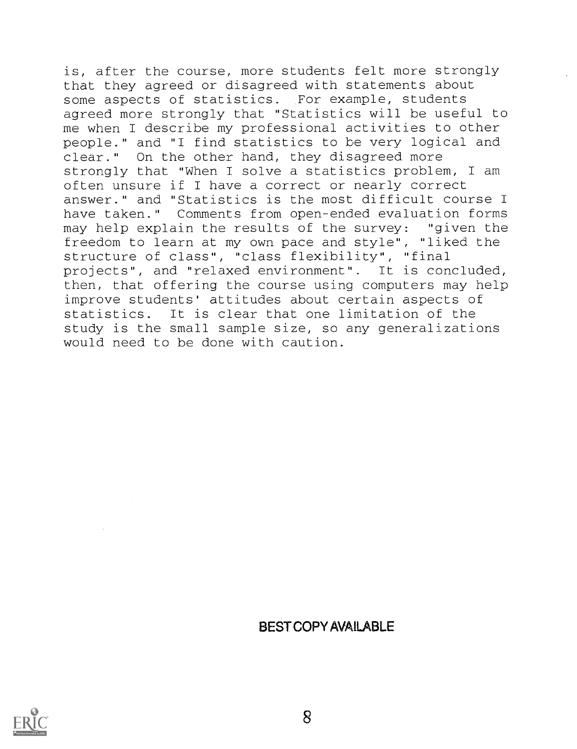is, after the course, more students felt more strongly that they agreed or disagreed with statements about some aspects of statistics. For example, students agreed more strongly that "Statistics will be useful to me when I describe my professional activities to other people." and "I find statistics to be very logical and clear." On the other hand, they disagreed more strongly that "When I solve a statistics problem, I am often unsure if I have a correct or nearly correct answer." and "Statistics is the most difficult course I have taken." Comments from open-ended evaluation forms may help explain the results of the survey: "given the freedom to learn at my own pace and style", "liked the structure of class", "class flexibility", "final projects", and "relaxed environment". It is concluded, then, that offering the course using computers may help improve students' attitudes about certain aspects of statistics. It is clear that one limitation of the study is the small sample size, so any generalizations would need to be done with caution.

## BEST COPY AVAILABLE

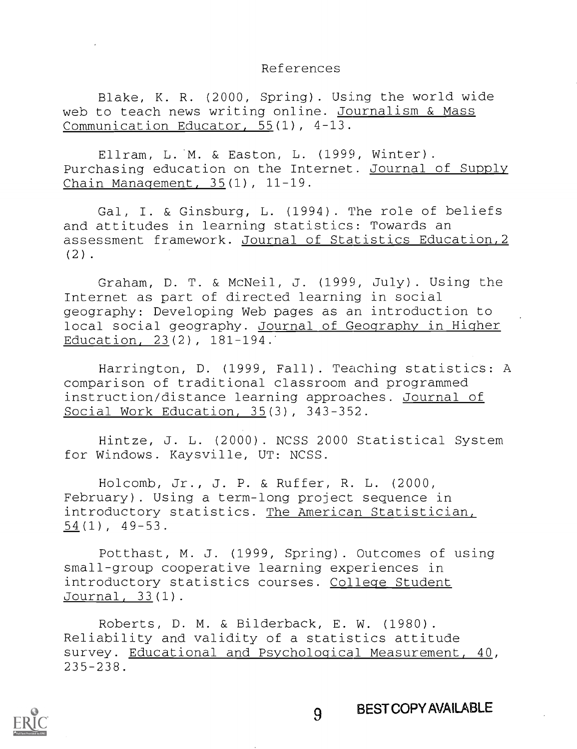#### References

Blake, K. R. (2000, Spring). Using the world wide web to teach news writing online. Journalism & Mass Communication Educator, 55(1), 4-13.

Ellram, L. M. & Easton, L. (1999, Winter). Purchasing education on the Internet. Journal of Supply Chain Management, 35(1), 11-19.

Gal, I. & Ginsburg, L. (1994). The role of beliefs and attitudes in learning statistics: Towards an assessment framework. Journal of Statistics Education,2  $(2)$ .

Graham, D. T. & McNeil, J. (1999, July) . Using the Internet as part of directed learning in social geography: Developing Web pages as an introduction to local social geography. Journal of Geography in Higher Education, 23(2), 181-194..

Harrington, D. (1999, Fall) . Teaching statistics: A comparison of traditional classroom and programmed instruction/distance learning approaches. Journal of Social Work Education, 35(3), 343-352.

Hintze, J. L. (2000) . NCSS 2000 Statistical System for Windows. Kaysville, UT: NCSS.

Holcomb, Jr., J. P. & Ruffer, R. L. (2000, February). Using a term-long project sequence in introductory statistics. The American Statistician, 54(1), 49-53.

Potthast, M. J. (1999, Spring) . Outcomes of using small-group cooperative learning experiences in introductory statistics courses. College Student Journal, 33(1).

Roberts, D. M. & Bilderback, E. W. (1980). Reliability and validity of a statistics attitude survey. Educational and Psychological Measurement, 40, 235-238.

9

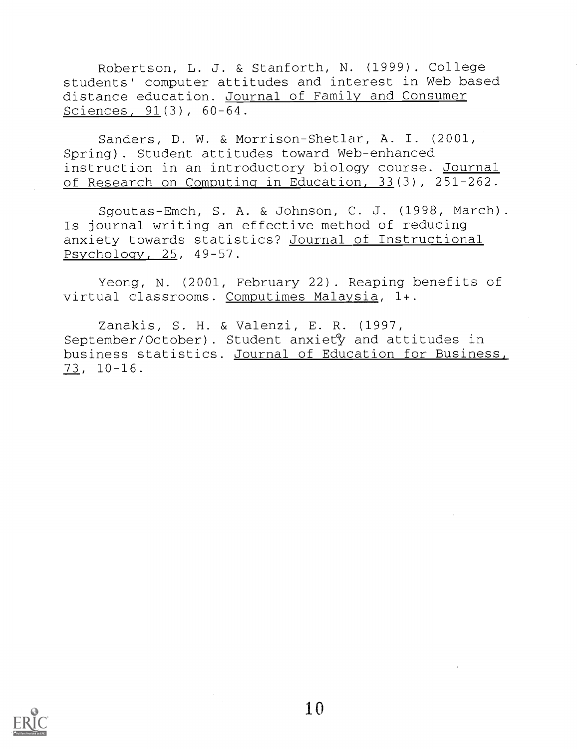Robertson, L. J. & Stanforth, N. (1999). College students' computer attitudes and interest in Web based distance education. Journal of Family and Consumer Sciences, 91(3), 60-64.

Sanders, D. W. & Morrison-Shetlar, A. I. (2001, Spring). Student attitudes toward Web-enhanced instruction in an introductory biology course. Journal of Research on Computing in Education, 33(3), 251-262.

Sgoutas-Emch, S. A. & Johnson, C. J. (1998, March). Is journal writing an effective method of reducing anxiety towards statistics? Journal of Instructional Psychology, 25, 49-57.

Yeong, N. (2001, February 22) . Reaping benefits of virtual classrooms. Computimes Malaysia, 1+.

Zanakis, S. H. & Valenzi, E. R. (1997, September/October). Student anxiety and attitudes in business statistics. Journal of Education for Business, 73, 10-16.

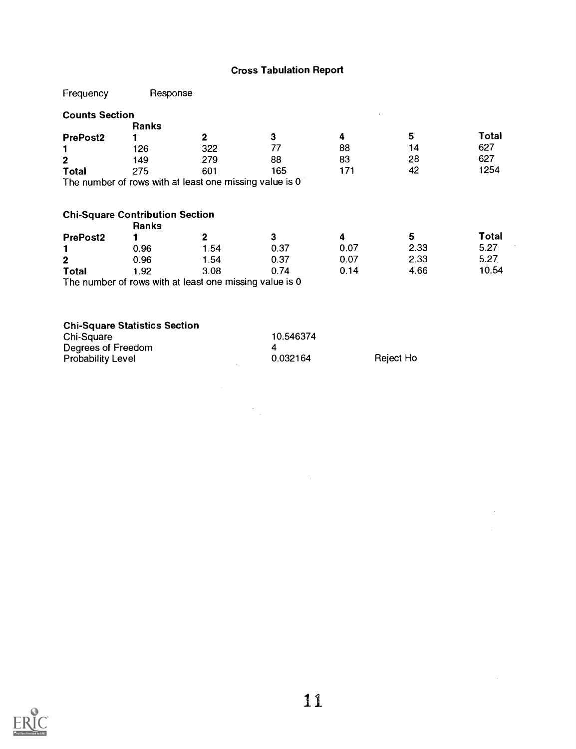## Cross Tabulation Report

| Frequency             | Response                                        |                                                         |      |      |      |       |
|-----------------------|-------------------------------------------------|---------------------------------------------------------|------|------|------|-------|
| <b>Counts Section</b> |                                                 |                                                         |      |      |      |       |
|                       | Ranks                                           |                                                         |      |      |      |       |
| <b>PrePost2</b>       |                                                 | 2                                                       | 3    | 4    | 5    | Total |
|                       | 126                                             | 322                                                     | 77   | 88   | 14   | 627   |
| $\mathbf{2}$          | 149                                             | 279                                                     | 88   | 83   | 28   | 627   |
| Total                 | 275                                             | 601                                                     | 165  | 171  | 42   | 1254  |
|                       |                                                 | The number of rows with at least one missing value is 0 |      |      |      |       |
|                       |                                                 |                                                         |      |      |      |       |
|                       | <b>Chi-Square Contribution Section</b><br>Ranks |                                                         |      |      |      |       |
| <b>PrePost2</b>       |                                                 | $\mathbf{2}$                                            | 3    | 4    | 5    | Total |
|                       | 0.96                                            | 1.54                                                    | 0.37 | 0.07 | 2.33 | 5.27  |
| $\mathbf{2}$          | 0.96                                            | 1.54                                                    | 0.37 | 0.07 | 2.33 | 5.27  |
| Total                 | 1.92                                            | 3.08                                                    | 0.74 | 0.14 | 4.66 | 10.54 |
|                       |                                                 | The number of rows with at least one missing value is 0 |      |      |      |       |

| Chi-Square               | 10.546374 |           |
|--------------------------|-----------|-----------|
| Degrees of Freedom       |           |           |
| <b>Probability Level</b> | 0.032164  | Reject Ho |

 $\label{eq:2.1} \frac{1}{\sqrt{2}}\sum_{i=1}^n\frac{1}{\sqrt{2}}\sum_{i=1}^n\frac{1}{\sqrt{2}}\sum_{i=1}^n\frac{1}{\sqrt{2}}\sum_{i=1}^n\frac{1}{\sqrt{2}}\sum_{i=1}^n\frac{1}{\sqrt{2}}\sum_{i=1}^n\frac{1}{\sqrt{2}}\sum_{i=1}^n\frac{1}{\sqrt{2}}\sum_{i=1}^n\frac{1}{\sqrt{2}}\sum_{i=1}^n\frac{1}{\sqrt{2}}\sum_{i=1}^n\frac{1}{\sqrt{2}}\sum_{i=1}^n\frac$ 



 $\sim 10$ 

 $\cdot$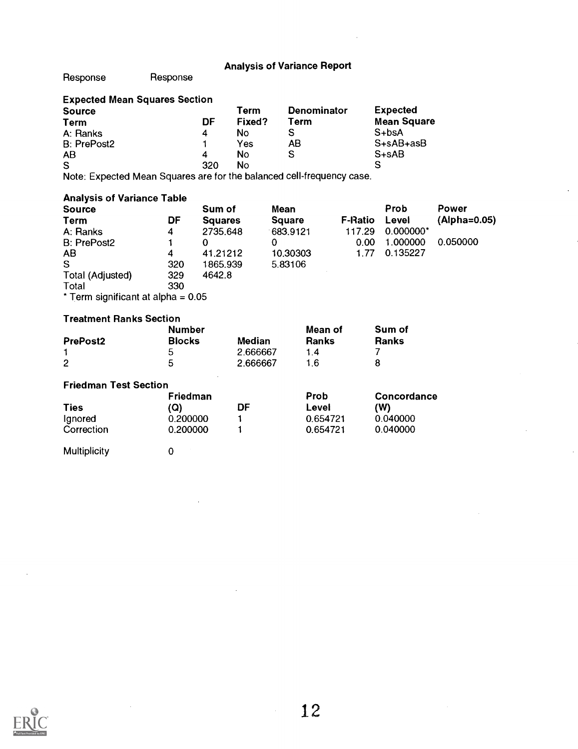Response Response

| <b>Expected Mean Squares Section</b> |     |        |                    |                    |  |
|--------------------------------------|-----|--------|--------------------|--------------------|--|
| <b>Source</b>                        |     | Term   | <b>Denominator</b> | <b>Expected</b>    |  |
| <b>Term</b>                          | DF  | Fixed? | Term               | <b>Mean Square</b> |  |
| A: Ranks                             | Δ   | Νo     |                    | $S + b$ sA         |  |
| B: PrePost2                          |     | Yes    | AΒ                 | $S+SAB+asB$        |  |
| AB                                   | 4   | No     | S                  | $S+SAB$            |  |
| S                                    | 320 | No     |                    | S                  |  |

Note: Expected Mean Squares are for the balanced cell-frequency case.

#### Analysis of Variance Table

| <b>Source</b>                        |     | Sum of         | Mean          |                | Prob        | Power        |
|--------------------------------------|-----|----------------|---------------|----------------|-------------|--------------|
| Term                                 | DF  | <b>Squares</b> | <b>Square</b> | <b>F-Ratio</b> | Level       | (Alpha=0.05) |
| A: Ranks                             | 4   | 2735.648       | 683.9121      | 117.29         | $0.000000*$ |              |
| B: PrePost2                          |     | 0              | 0             | 0.00           | 1.000000    | 0.050000     |
| AB                                   | 4   | 41.21212       | 10.30303      | 1.77           | 0.135227    |              |
| S                                    | 320 | 1865.939       | 5.83106       |                |             |              |
| Total (Adjusted)                     | 329 | 4642.8         |               |                |             |              |
| Total                                | 330 |                |               |                |             |              |
| * Term significant at alpha = $0.05$ |     |                |               |                |             |              |

#### Treatment Ranks Section

|                 | Number        |          | Mean of      | Sum of       |  |
|-----------------|---------------|----------|--------------|--------------|--|
| <b>PrePost2</b> | <b>Blocks</b> | Median   | <b>Ranks</b> | <b>Ranks</b> |  |
|                 |               | 2.666667 | 14           |              |  |
| 2               | 5             | 2.666667 | 16           |              |  |

#### Friedman Test Section

|             | Friedman |    | Prob     | Concordance |  |
|-------------|----------|----|----------|-------------|--|
| <b>Ties</b> | (Q)      | DF | Level    | (W)         |  |
| Ignored     | 0.200000 |    | 0.654721 | 0.040000    |  |
| Correction  | 0.200000 |    | 0.654721 | 0.040000    |  |

Multiplicity 0

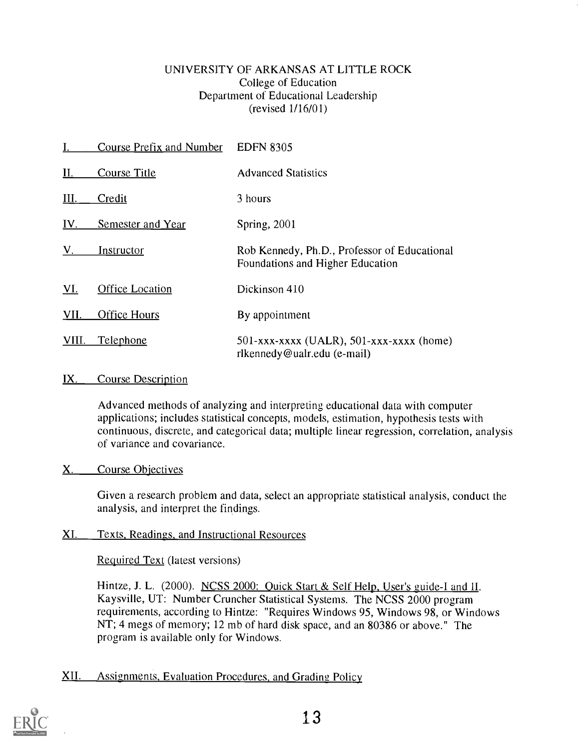## UNIVERSITY OF ARKANSAS AT LITTLE ROCK College of Education Department of Educational Leadership (revised 1/16/01)

|              | <b>Course Prefix and Number</b> | <b>EDFN 8305</b>                                                                 |
|--------------|---------------------------------|----------------------------------------------------------------------------------|
| II.          | <b>Course Title</b>             | <b>Advanced Statistics</b>                                                       |
| III.         | Credit                          | 3 hours                                                                          |
| IV.          | <b>Semester and Year</b>        | Spring, 2001                                                                     |
| $V_{\rm{c}}$ | Instructor                      | Rob Kennedy, Ph.D., Professor of Educational<br>Foundations and Higher Education |
| VI.          | <b>Office Location</b>          | Dickinson 410                                                                    |
| VII.         | <b>Office Hours</b>             | By appointment                                                                   |
| VIII.        | Telephone                       | $501$ -xxx-xxxx (UALR), $501$ -xxx-xxxx (home)<br>rlkennedy@ualr.edu (e-mail)    |

## IX. Course Description

Advanced methods of analyzing and interpreting educational data with computer applications; includes statistical concepts, models, estimation, hypothesis tests with continuous, discrete, and categorical data; multiple linear regression, correlation, analysis of variance and covariance.

## X. Course Objectives

Given a research problem and data, select an appropriate statistical analysis, conduct the analysis, and interpret the findings.

## XI. Texts, Readings, and Instructional Resources

Required Text (latest versions)

Hintze, J. L. (2000). NCSS 2000: Quick Start & Self Help, User's guide-I and II. Kaysville, UT: Number Cruncher Statistical Systems. The NCSS 2000 program requirements, according to Hintze: "Requires Windows 95, Windows 98, or Windows NT; 4 megs of memory; 12 mb of hard disk space, and an 80386 or above." The program is available only for Windows.

## XII. Assignments, Evaluation Procedures, and Grading Policy

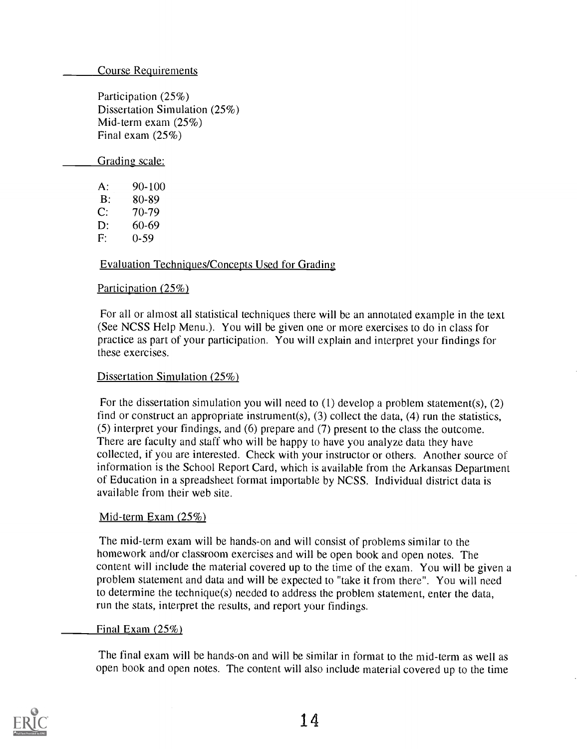Course Requirements

Participation (25%) Dissertation Simulation (25%) Mid-term exam (25%) Final exam (25%)

Grading scale:

A:  $90-100$ <br>B:  $80-89$ B: 80-89 C: 70-79 D:  $60-69$ <br>F:  $0-59$  $0-59$ 

### Evaluation Techniques/Concepts Used for Grading

#### Participation (25%)

For all or almost all statistical techniques there will be an annotated example in the text (See NCSS Help Menu.). You will be given one or more exercises to do in class for practice as part of your participation. You will explain and interpret your findings for these exercises.

#### Dissertation Simulation (25%)

For the dissertation simulation you will need to (1) develop a problem statement(s), (2) find or construct an appropriate instrument(s), (3) collect the data, (4) run the statistics, (5) interpret your findings, and (6) prepare and (7) present to the class the outcome. There are faculty and staff who will be happy to have you analyze data they have collected, if you are interested. Check with your instructor or others. Another source of information is the School Report Card, which is available from the Arkansas Department of Education in a spreadsheet format importable by NCSS. Individual district data is available from their web site.

#### Mid-term Exam (25%)

The mid-term exam will be hands-on and will consist of problems similar to the homework and/or classroom exercises and will be open book and open notes. The content will include the material covered up to the time of the exam. You will be given a problem statement and data and will be expected to "take it from there". You will need to determine the technique(s) needed to address the problem statement, enter the data, run the stats, interpret the results, and report your findings.

#### Final Exam (25%)

The final exam will be hands-on and will be similar in format to the mid-term as well as open book and open notes. The content will also include material covered up to the time

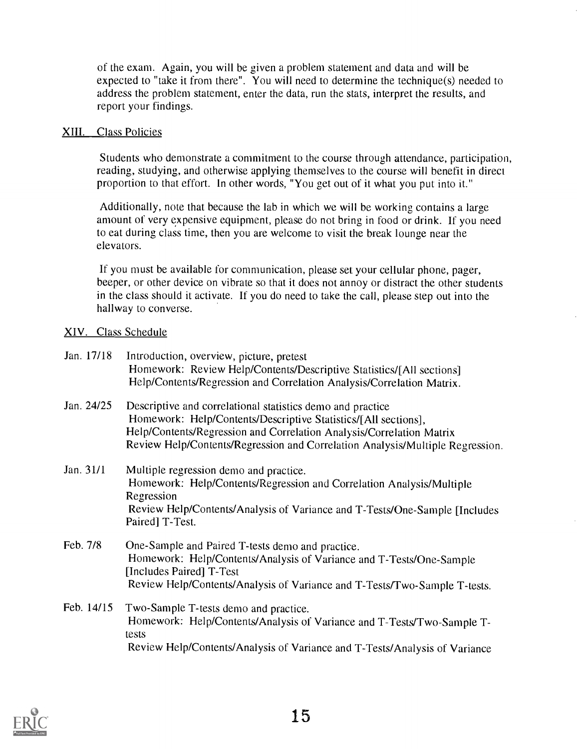of the exam. Again, you will be given a problem statement and data and will be expected to "take it from there". You will need to determine the technique(s) needed to address the problem statement, enter the data, run the stats, interpret the results, and report your findings.

#### XIII. Class Policies

Students who demonstrate a commitment to the course through attendance, participation, reading, studying, and otherwise applying themselves to the course will benefit in direct proportion to that effort. In other words, "You get out of it what you put into it."

Additionally, note that because the lab in which we will be working contains a large amount of very expensive equipment, please do not brimg in food or drink. If you need to eat during class time, then you are welcome to visit the break lounge near the elevators.

If you must be available for communication, please set your cellular phone, pager, beeper, or other device on vibrate so that it does not annoy or distract the other students in the class should it activate. If you do need to take the call, please step out into the hallway to converse.

#### XIV. Class Schedule

| Jan. 17/18 | Introduction, overview, picture, pretest<br>Homework: Review Help/Contents/Descriptive Statistics/[All sections]<br>Help/Contents/Regression and Correlation Analysis/Correlation Matrix.                                                                                             |
|------------|---------------------------------------------------------------------------------------------------------------------------------------------------------------------------------------------------------------------------------------------------------------------------------------|
| Jan. 24/25 | Descriptive and correlational statistics demo and practice<br>Homework: Help/Contents/Descriptive Statistics/[All sections],<br>Help/Contents/Regression and Correlation Analysis/Correlation Matrix<br>Review Help/Contents/Regression and Correlation Analysis/Multiple Regression. |
| Jan. 31/1  | Multiple regression demo and practice.<br>Homework: Help/Contents/Regression and Correlation Analysis/Multiple<br>Regression<br>Review Help/Contents/Analysis of Variance and T-Tests/One-Sample [Includes]<br>Paired] T-Test.                                                        |
| Feb. 7/8   | One-Sample and Paired T-tests demo and practice.<br>Homework: Help/Contents/Analysis of Variance and T-Tests/One-Sample<br>[Includes Paired] T-Test<br>Review Help/Contents/Analysis of Variance and T-Tests/Two-Sample T-tests.                                                      |
| Feb. 14/15 | Two-Sample T-tests demo and practice.<br>Homework: Help/Contents/Analysis of Variance and T-Tests/Two-Sample T-<br>tests<br>Review Help/Contents/Analysis of Variance and T-Tests/Analysis of Variance                                                                                |

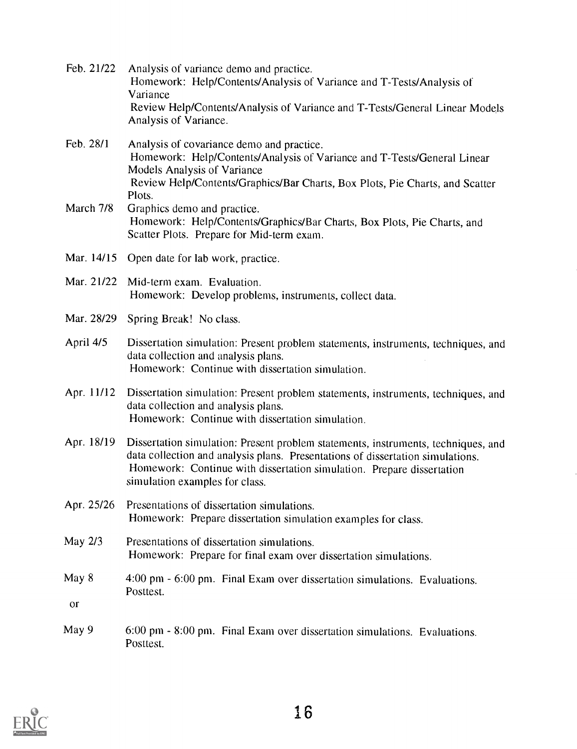| Feb. 21/22             | Analysis of variance demo and practice.<br>Homework: Help/Contents/Analysis of Variance and T-Tests/Analysis of<br>Variance<br>Review Help/Contents/Analysis of Variance and T-Tests/General Linear Models<br>Analysis of Variance.                                            |
|------------------------|--------------------------------------------------------------------------------------------------------------------------------------------------------------------------------------------------------------------------------------------------------------------------------|
| Feb. 28/1              | Analysis of covariance demo and practice.<br>Homework: Help/Contents/Analysis of Variance and T-Tests/General Linear<br><b>Models Analysis of Variance</b><br>Review Help/Contents/Graphics/Bar Charts, Box Plots, Pie Charts, and Scatter                                     |
| March 7/8              | Plots.<br>Graphics demo and practice.<br>Homework: Help/Contents/Graphics/Bar Charts, Box Plots, Pie Charts, and<br>Scatter Plots. Prepare for Mid-term exam.                                                                                                                  |
| Mar. 14/15             | Open date for lab work, practice.                                                                                                                                                                                                                                              |
| Mar. 21/22             | Mid-term exam. Evaluation.<br>Homework: Develop problems, instruments, collect data.                                                                                                                                                                                           |
| Mar. 28/29             | Spring Break! No class.                                                                                                                                                                                                                                                        |
| April 4/5              | Dissertation simulation: Present problem statements, instruments, techniques, and<br>data collection and analysis plans.<br>Homework: Continue with dissertation simulation.                                                                                                   |
| Apr. 11/12             | Dissertation simulation: Present problem statements, instruments, techniques, and<br>data collection and analysis plans.<br>Homework: Continue with dissertation simulation.                                                                                                   |
| Apr. 18/19             | Dissertation simulation: Present problem statements, instruments, techniques, and<br>data collection and analysis plans. Presentations of dissertation simulations.<br>Homework: Continue with dissertation simulation. Prepare dissertation<br>simulation examples for class. |
| Apr. 25/26             | Presentations of dissertation simulations.<br>Homework: Prepare dissertation simulation examples for class.                                                                                                                                                                    |
| May 2/3                | Presentations of dissertation simulations.<br>Homework: Prepare for final exam over dissertation simulations.                                                                                                                                                                  |
| May 8<br><sub>or</sub> | 4:00 pm - 6:00 pm. Final Exam over dissertation simulations. Evaluations.<br>Posttest.                                                                                                                                                                                         |
| May 9                  | 6:00 pm - 8:00 pm. Final Exam over dissertation simulations. Evaluations.<br>Posttest.                                                                                                                                                                                         |

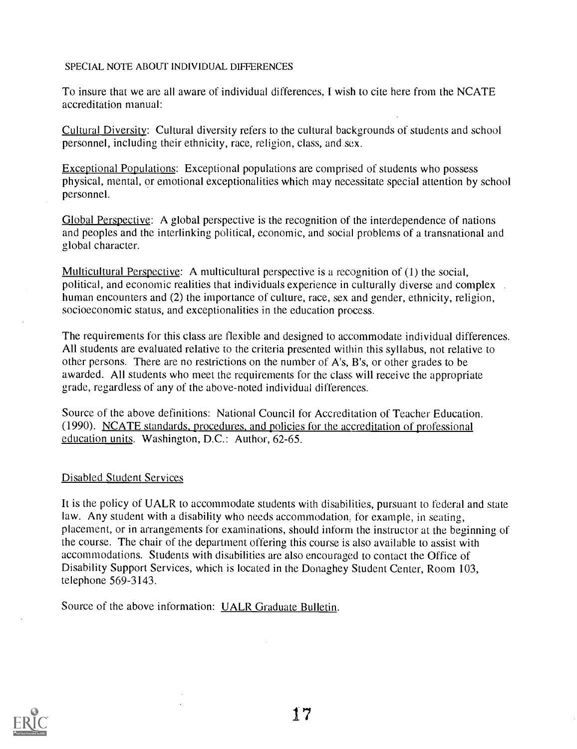#### SPECIAL NOTE ABOUT INDIVIDUAL DIFFERENCES

To insure that we are all aware of individual differences, I wish to cite here from the NCATE accreditation manual:

Cultural Diversity: Cultural diversity refers to the cultural backgrounds of students and school personnel, including their ethnicity, race, religion, class, and sex.

Exceptional Populations: Exceptional populations are comprised of students who possess physical, mental, or emotional exceptionalities which may necessitate special attention by school personnel.

Global Perspective: A global perspective is the recognition of the interdependence of nations and peoples and the interlinking political, economic, and social problems of a transnational and global character.

Multicultural Perspective: A multicultural perspective is a recognition of (1) the social, political, and economic realities that individuals experience in culturally diverse and complex . human encounters and (2) the importance of culture, race, sex and gender, ethnicity, religion, socioeconomic status, and exceptionalities in the education process.

The requirements for this class are flexible and designed to accommodate individual differences. All students are evaluated relative to the criteria presented within this syllabus, not relative to other persons. There are no restrictions on the number of A's, B's, or other grades to be awarded. All students who meet the requirements for the class will receive the appropriate grade, regardless of any of the above-noted individual differences.

Source of the above definitions: National Council for Accreditation of Teacher Education. (1990). NCATE standards, procedures, and policies for the accreditation of professional education units. Washington, D.C.: Author, 62-65.

#### Disabled Student Services

It is the policy of UALR to accommodate students with disabilities, pursuant to federal and state law. Any student with a disability who needs accommodation, for example, in seating, placement, or in arrangements for examinations, should inform the instructor at the beginning of the course. The chair of the department offering this course is also available to assist with accommodations. Students with disabilities are also encouraged to contact the Office of Disability Support Services, which is located in the Donaghey Student Center, Room 103, telephone 569-3143.

Source of the above information: UALR Graduate Bulletin.

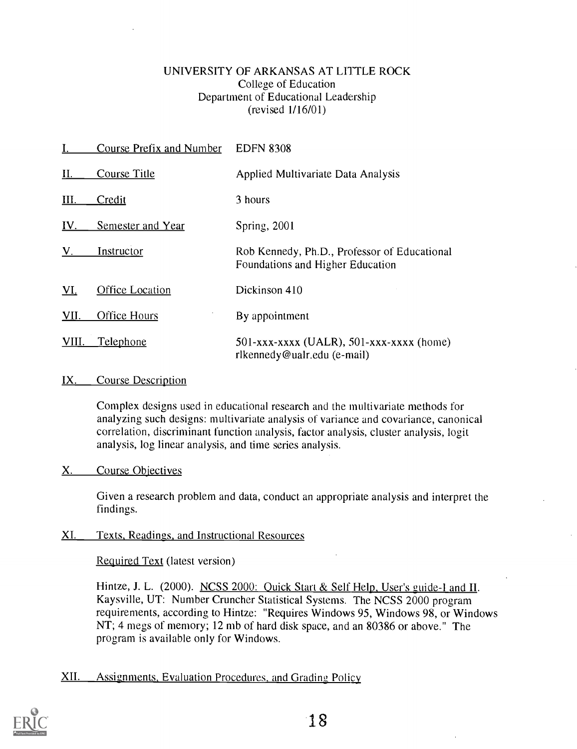### UNIVERSITY OF ARKANSAS AT LITTLE ROCK College of Education Department of Educational Leadership (revised 1/16/01)

|             | <b>Course Prefix and Number</b> | <b>EDFN 8308</b>                                                                 |
|-------------|---------------------------------|----------------------------------------------------------------------------------|
| Н.          | <b>Course Title</b>             | Applied Multivariate Data Analysis                                               |
| Ш.          | Credit                          | 3 hours                                                                          |
| IV.         | <b>Semester and Year</b>        | Spring, 2001                                                                     |
| $V_{\odot}$ | Instructor                      | Rob Kennedy, Ph.D., Professor of Educational<br>Foundations and Higher Education |
| VI.         | <b>Office Location</b>          | Dickinson 410                                                                    |
| <b>VII.</b> | Office Hours                    | By appointment                                                                   |
| VIII.       | <u>Telephone</u>                | $501$ -xxx-xxxx (UALR), 501-xxx-xxxx (home)<br>rlkennedy@ualr.edu (e-mail)       |

## IX. Course Description

Complex designs used in educational research and the multivariate methods for analyzing such designs: multivariate analysis of variance and covariance, canonical correlation, discriminant function analysis, factor analysis, cluster analysis, logit analysis, log linear analysis, and time series analysis.

#### X. Course Objectives

Given a research problem and data, conduct an appropriate analysis and interpret the findings.

## XI. Texts, Readings, and Instructional Resources

Required Text (latest version)

Hintze, J. L. (2000). NCSS 2000: Quick Start & Self Help, User's guide-I and II. Kaysville, UT: Number Cruncher Statistical Systems. The NCSS 2000 program requirements, according to Hintze: "Requires Windows 95, Windows 98, or Windows NT; 4 megs of memory; 12 mb of hard disk space, and an 80386 or above." The program is available only for Windows.

## XII. Assignments, Evaluation Procedures, and Grading Policy

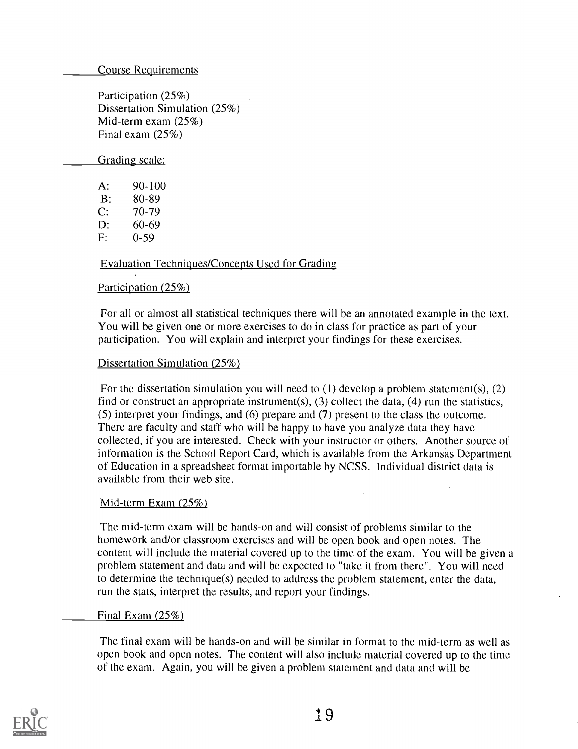Course Requirements

Participation (25%) Dissertation Simulation (25%) Mid-term exam (25%) Final exam (25%)

Grading scale:

A: 90-100 B: 80-89 C: 70-79  $D: 60-69$ F: 0-59

### Evaluation Techniques/Concepts Used for Grading

#### Participation (25%)

For all or almost all statistical techniques there will be an annotated example in the text. You will be given one or more exercises to do in class for practice as part of your participation. You will explain and interpret your findings for these exercises.

#### Dissertation Simulation (25%)

For the dissertation simulation you will need to (1) develop a problem statement(s), (2) find or construct an appropriate instrument(s),  $(3)$  collect the data,  $(4)$  run the statistics, (5) interpret your findings, and (6) prepare and (7) present to the class the outcome. There are faculty and staff who will be happy to have you analyze data they have collected, if you are interested. Check with your instructor or others. Another source of information is the School Report Card, which is available from the Arkansas Department of Education in a spreadsheet format importable by NCSS. Individual district data is available from their web site.

#### Mid-term Exam (25%)

The mid-term exam will be hands-on and will consist of problems similar to the homework and/or classroom exercises and will be open book and open notes. The content will include the material covered up to the time of the exam. You will be given a problem statement and data and will be expected to "take it from there". You will need to determine the technique(s) needed to address the problem statement, enter the data, run the stats, interpret the results, and report your findings.

#### Final Exam (25%)

The final exam will be hands-on and will be similar in format to the mid-term as well as open book and open notes. The content will also include material covered up to the time of the exam. Again, you will be given a problem statement and data and will be

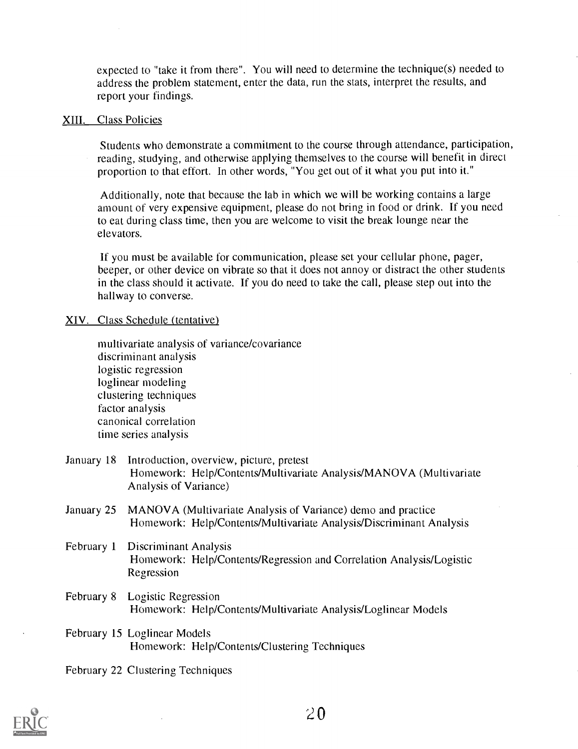expected to "take it from there". You will need to detemine the technique(s) needed to address the problem statement, enter the data, run the stats, interpret the results, and report your findings.

#### XIII. Class Policies

Students who demonstrate a commitment to the course through attendance, participation, reading, studying, and otherwise applying themselves to the course will benefit in direct proportion to that effort. In other words, "You get out of it what you put into it."

Additionally, note that because the lab in which we will be working contains a large amount of very expensive equipment, please do not bring in food or drink. If you need to eat during class time, then you are welcome to visit the break lounge near the elevators.

If you must be available for communication, please set your cellular phone, pager, beeper, or other device on vibrate so that it does not annoy or distract the other students in the class should it activate. If you do need to take the call, please step out into the hallway to converse.

#### XIV. Class Schedule (tentative)

multivariate analysis of variance/covariance discriminant analysis logistic regression loglinear modeling clustering techniques factor analysis canonical correlation time series analysis

- January 18 Introduction, overview, picture, pretest Homework: Help/Contents/Multivariate Analysis/MANOVA (Multivariate Analysis of Variance)
- January 25 MANOVA (Multivariate Analysis of Variance) demo and practice Homework: Help/Contents/Multivariate Analysis/Discriminant Analysis
- February 1 Discriminant Analysis Homework: Help/Contents/Regression and Correlation Analysis/Logistic Regression
- February 8 Logistic Regression Homework: Help/Contents/Multivariate Analysis/Loglinear Models
- February 15 Loglinear Models Homework: Help/Contents/Clustering Techniques

#### February 22 Clustering Techniques

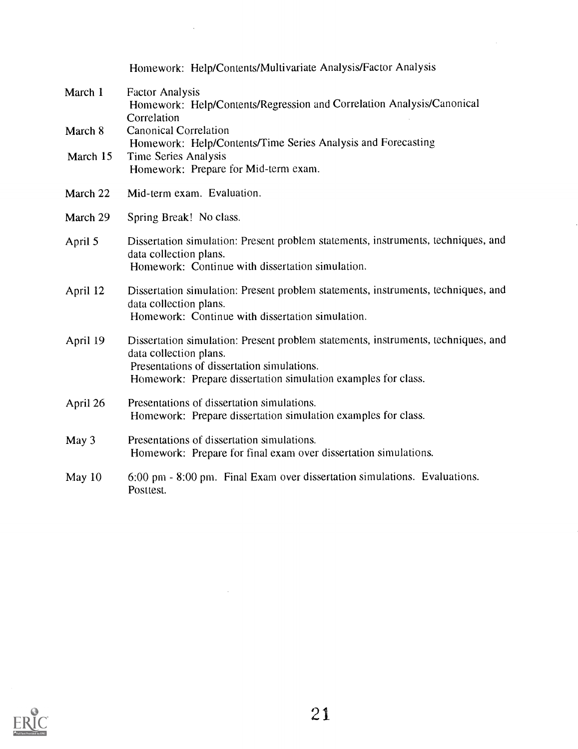|          | Homework: Help/Contents/Multivariate Analysis/Factor Analysis                                                                                                                                                              |  |  |  |  |
|----------|----------------------------------------------------------------------------------------------------------------------------------------------------------------------------------------------------------------------------|--|--|--|--|
| March 1  | <b>Factor Analysis</b><br>Homework: Help/Contents/Regression and Correlation Analysis/Canonical<br>Correlation                                                                                                             |  |  |  |  |
| March 8  | <b>Canonical Correlation</b>                                                                                                                                                                                               |  |  |  |  |
| March 15 | Homework: Help/Contents/Time Series Analysis and Forecasting                                                                                                                                                               |  |  |  |  |
|          | Time Series Analysis<br>Homework: Prepare for Mid-term exam.                                                                                                                                                               |  |  |  |  |
| March 22 | Mid-term exam. Evaluation.                                                                                                                                                                                                 |  |  |  |  |
| March 29 | Spring Break! No class.                                                                                                                                                                                                    |  |  |  |  |
| April 5  | Dissertation simulation: Present problem statements, instruments, techniques, and<br>data collection plans.<br>Homework: Continue with dissertation simulation.                                                            |  |  |  |  |
| April 12 | Dissertation simulation: Present problem statements, instruments, techniques, and<br>data collection plans.<br>Homework: Continue with dissertation simulation.                                                            |  |  |  |  |
| April 19 | Dissertation simulation: Present problem statements, instruments, techniques, and<br>data collection plans.<br>Presentations of dissertation simulations.<br>Homework: Prepare dissertation simulation examples for class. |  |  |  |  |
| April 26 | Presentations of dissertation simulations.<br>Homework: Prepare dissertation simulation examples for class.                                                                                                                |  |  |  |  |
| May 3    | Presentations of dissertation simulations.<br>Homework: Prepare for final exam over dissertation simulations.                                                                                                              |  |  |  |  |
| May $10$ | 6:00 pm - 8:00 pm. Final Exam over dissertation simulations. Evaluations.<br>Posttest.                                                                                                                                     |  |  |  |  |

 $\ddot{\phantom{a}}$ 

 $\ddot{\phantom{a}}$ 



 $\mathcal{L}^{\text{max}}_{\text{max}}$  ,  $\mathcal{L}^{\text{max}}_{\text{max}}$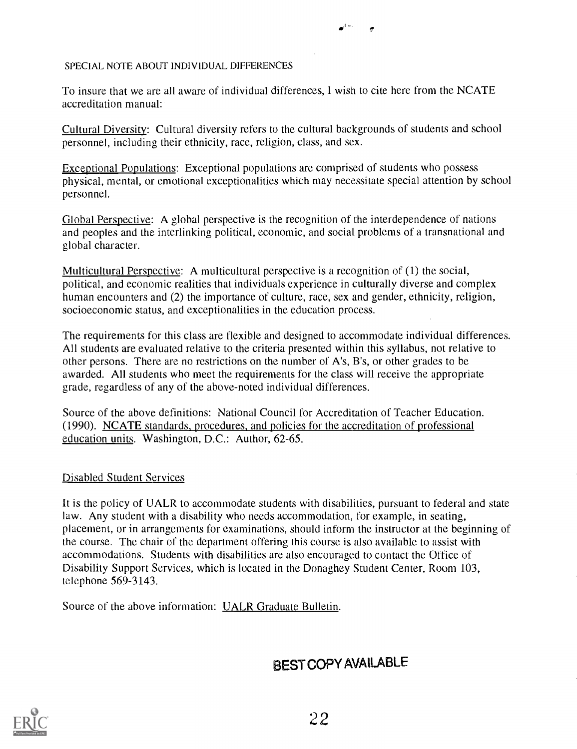#### SPECIAL NOTE ABOUT INDIVIDUAL DIFFERENCES

To insure that we are all aware of individual differences, I wish to cite here from the NCATE accreditation manual:'

Cultural Diversity: Cultural diversity refers to the cultural backgrounds of students and school personnel, including their ethnicity, race, religion, class, and sex.

Exceptional Populations: Exceptional populations are comprised of students who possess physical, mental, or emotional exceptionalities which may necessitate special attention by school personnel.

Global Perspective: A global perspective is the recognition of the interdependence of nations and peoples and the interlinking political, economic, and social problems of a transnational and global character.

Multicultural Perspective: A multicultural perspective is a recognition of (1) the social, political, and economic realities that individuals experience in culturally diverse and complex human encounters and (2) the importance of culture, race, sex and gender, ethnicity, religion, socioeconomic status, and exceptionalities in the education process.

The requirements for this class are flexible and designed to accommodate individual differences. All students are evaluated relative to the criteria presented within this syllabus, not relative to other persons. There are no restrictions on the number of A's, B's, or other grades to be awarded. All students who meet the requirements for the class will receive the appropriate grade, regardless of any of the above-noted individual differences.

Source of the above definitions: National Council for Accreditation of Teacher Education. (1990). NCATE standards, procedures, and policies for the accreditation of professional education units. Washington, D.C.: Author, 62-65.

## Disabled Student Services

It is the policy of UALR to accommodate students with disabilities, pursuant to federal and state law. Any student with a disability who needs accommodation, for example, in seating, placement, or in arrangements for examinations, should inform the instructor at the beginning of the course. The chair of the department offering this course is also available to assist with accommodations. Students with disabilities are also encouraged to contact the Office of Disability Support Services, which is located in the Donaghey Student Center, Room 103, telephone 569-3143.

Source of the above information: UALR Graduate Bulletin.

## BEST COPY AVALABLE

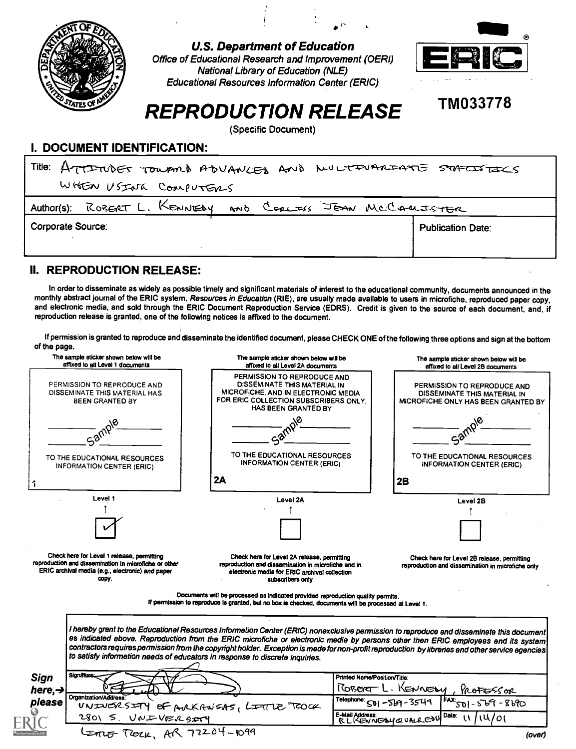

U.S. Department of Education



## TM033778

# REPRODUCTION RELEASE

(Specific Document)

#### I. DOCUMENT IDENTIFICATION:

| Title: ATTITUDES TOUARD ADVANCED AND NULTIMARIATE STATISTICS |                          |  |  |  |  |  |  |  |
|--------------------------------------------------------------|--------------------------|--|--|--|--|--|--|--|
| WHEN USING COMPUTERS                                         |                          |  |  |  |  |  |  |  |
| Author(s): ROBERT L. KENNEDY AND CORLESS JEAN MCCAULTSTER    |                          |  |  |  |  |  |  |  |
| Corporate Source:                                            | <b>Publication Date:</b> |  |  |  |  |  |  |  |
|                                                              |                          |  |  |  |  |  |  |  |

## II. REPRODUCTION RELEASE:

In order to disseminate as widely as possible timely and significant materials of interest to the educational community, documents announced in the monthly abstract journal of the ERIC system, Resources in Education (RIE), are usually made available to users in microfiche, reproduced paper copy, and electronic media, and sold through the ERIC Document Reproduction Service (EDRS). Credit is given to the source of each document, and, if reproduction release is granted, one of the following notices is affixed to the document.

If permission is granted to reproduce and disseminate the identified document, please CHECK ONE of the following three options and sign at the bottom of the page.